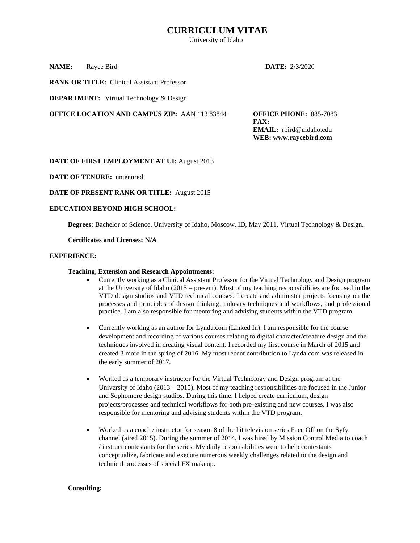# **CURRICULUM VITAE**

University of Idaho

**NAME:** Rayce Bird **DATE:** 2/3/2020

**RANK OR TITLE:** Clinical Assistant Professor

**DEPARTMENT:** Virtual Technology & Design

**OFFICE LOCATION AND CAMPUS ZIP:** AAN 113 83844 **OFFICE PHONE:** 885-7083

**FAX: EMAIL:** rbird@uidaho.edu **WEB: www.raycebird.com**

#### **DATE OF FIRST EMPLOYMENT AT UI:** August 2013

**DATE OF TENURE:** untenured

#### **DATE OF PRESENT RANK OR TITLE:** August 2015

#### **EDUCATION BEYOND HIGH SCHOOL:**

**Degrees:** Bachelor of Science, University of Idaho, Moscow, ID, May 2011, Virtual Technology & Design.

#### **Certificates and Licenses: N/A**

#### **EXPERIENCE:**

#### **Teaching, Extension and Research Appointments:**

- Currently working as a Clinical Assistant Professor for the Virtual Technology and Design program at the University of Idaho (2015 – present). Most of my teaching responsibilities are focused in the VTD design studios and VTD technical courses. I create and administer projects focusing on the processes and principles of design thinking, industry techniques and workflows, and professional practice. I am also responsible for mentoring and advising students within the VTD program.
- Currently working as an author for Lynda.com (Linked In). I am responsible for the course development and recording of various courses relating to digital character/creature design and the techniques involved in creating visual content. I recorded my first course in March of 2015 and created 3 more in the spring of 2016. My most recent contribution to Lynda.com was released in the early summer of 2017.
- Worked as a temporary instructor for the Virtual Technology and Design program at the University of Idaho ( $2013 - 2015$ ). Most of my teaching responsibilities are focused in the Junior and Sophomore design studios. During this time, I helped create curriculum, design projects/processes and technical workflows for both pre-existing and new courses. I was also responsible for mentoring and advising students within the VTD program.
- Worked as a coach / instructor for season 8 of the hit television series Face Off on the Syfy channel (aired 2015). During the summer of 2014, I was hired by Mission Control Media to coach / instruct contestants for the series. My daily responsibilities were to help contestants conceptualize, fabricate and execute numerous weekly challenges related to the design and technical processes of special FX makeup.

#### **Consulting:**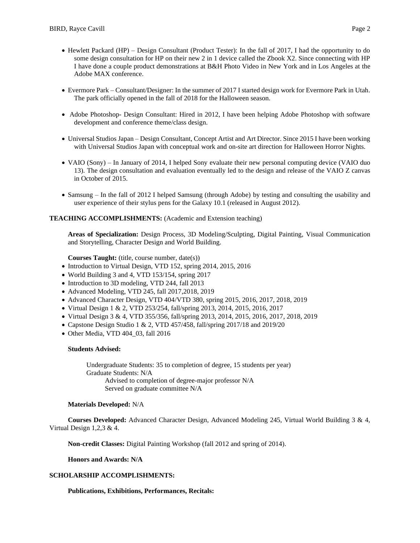- Hewlett Packard (HP) Design Consultant (Product Tester): In the fall of 2017, I had the opportunity to do some design consultation for HP on their new 2 in 1 device called the Zbook X2. Since connecting with HP I have done a couple product demonstrations at B&H Photo Video in New York and in Los Angeles at the Adobe MAX conference.
- Evermore Park Consultant/Designer: In the summer of 2017 I started design work for Evermore Park in Utah. The park officially opened in the fall of 2018 for the Halloween season.
- Adobe Photoshop- Design Consultant: Hired in 2012, I have been helping Adobe Photoshop with software development and conference theme/class design.
- Universal Studios Japan Design Consultant, Concept Artist and Art Director. Since 2015 I have been working with Universal Studios Japan with conceptual work and on-site art direction for Halloween Horror Nights.
- VAIO (Sony) In January of 2014, I helped Sony evaluate their new personal computing device (VAIO duo 13). The design consultation and evaluation eventually led to the design and release of the VAIO Z canvas in October of 2015.
- Samsung In the fall of 2012 I helped Samsung (through Adobe) by testing and consulting the usability and user experience of their stylus pens for the Galaxy 10.1 (released in August 2012).

### **TEACHING ACCOMPLISHMENTS:** (Academic and Extension teaching)

**Areas of Specialization:** Design Process, 3D Modeling/Sculpting, Digital Painting, Visual Communication and Storytelling, Character Design and World Building.

Courses Taught: (title, course number, date(s))

- Introduction to Virtual Design, VTD 152, spring 2014, 2015, 2016
- World Building 3 and 4, VTD 153/154, spring 2017
- Introduction to 3D modeling, VTD 244, fall 2013
- Advanced Modeling, VTD 245, fall 2017,2018, 2019
- Advanced Character Design, VTD 404/VTD 380, spring 2015, 2016, 2017, 2018, 2019
- Virtual Design 1 & 2, VTD 253/254, fall/spring 2013, 2014, 2015, 2016, 2017
- Virtual Design 3 & 4, VTD 355/356, fall/spring 2013, 2014, 2015, 2016, 2017, 2018, 2019
- Capstone Design Studio 1 & 2, VTD 457/458, fall/spring 2017/18 and 2019/20
- Other Media, VTD 404\_03, fall 2016

#### **Students Advised:**

Undergraduate Students: 35 to completion of degree, 15 students per year) Graduate Students: N/A Advised to completion of degree-major professor N/A Served on graduate committee N/A

#### **Materials Developed:** N/A

**Courses Developed:** Advanced Character Design, Advanced Modeling 245, Virtual World Building 3 & 4, Virtual Design 1,2,3 & 4.

**Non-credit Classes:** Digital Painting Workshop (fall 2012 and spring of 2014).

**Honors and Awards: N/A**

### **SCHOLARSHIP ACCOMPLISHMENTS:**

**Publications, Exhibitions, Performances, Recitals:**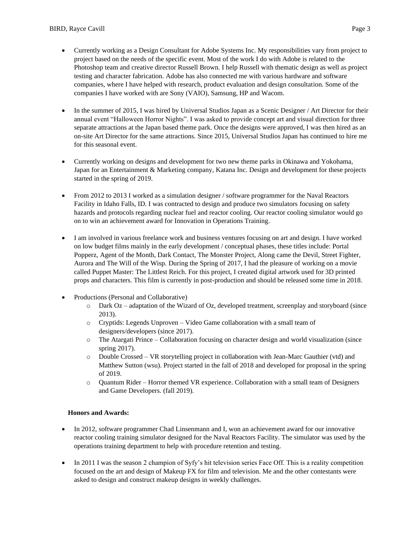- Currently working as a Design Consultant for Adobe Systems Inc. My responsibilities vary from project to project based on the needs of the specific event. Most of the work I do with Adobe is related to the Photoshop team and creative director Russell Brown. I help Russell with thematic design as well as project testing and character fabrication. Adobe has also connected me with various hardware and software companies, where I have helped with research, product evaluation and design consultation. Some of the companies I have worked with are Sony (VAIO), Samsung, HP and Wacom.
- In the summer of 2015, I was hired by Universal Studios Japan as a Scenic Designer / Art Director for their annual event "Halloween Horror Nights". I was asked to provide concept art and visual direction for three separate attractions at the Japan based theme park. Once the designs were approved, I was then hired as an on-site Art Director for the same attractions. Since 2015, Universal Studios Japan has continued to hire me for this seasonal event.
- Currently working on designs and development for two new theme parks in Okinawa and Yokohama, Japan for an Entertainment & Marketing company, Katana Inc. Design and development for these projects started in the spring of 2019.
- From 2012 to 2013 I worked as a simulation designer / software programmer for the Naval Reactors Facility in Idaho Falls, ID. I was contracted to design and produce two simulators focusing on safety hazards and protocols regarding nuclear fuel and reactor cooling. Our reactor cooling simulator would go on to win an achievement award for Innovation in Operations Training.
- I am involved in various freelance work and business ventures focusing on art and design. I have worked on low budget films mainly in the early development / conceptual phases, these titles include: Portal Popperz, Agent of the Month, Dark Contact, The Monster Project, Along came the Devil, Street Fighter, Aurora and The Will of the Wisp. During the Spring of 2017, I had the pleasure of working on a movie called Puppet Master: The Littlest Reich. For this project, I created digital artwork used for 3D printed props and characters. This film is currently in post-production and should be released some time in 2018.
- Productions (Personal and Collaborative)
	- o Dark Oz adaptation of the Wizard of Oz, developed treatment, screenplay and storyboard (since 2013).
	- o Cryptids: Legends Unproven Video Game collaboration with a small team of designers/developers (since 2017).
	- o The Atargati Prince Collaboration focusing on character design and world visualization (since spring 2017).
	- o Double Crossed VR storytelling project in collaboration with Jean-Marc Gauthier (vtd) and Matthew Sutton (wsu). Project started in the fall of 2018 and developed for proposal in the spring of 2019.
	- o Quantum Rider Horror themed VR experience. Collaboration with a small team of Designers and Game Developers. (fall 2019).

## **Honors and Awards:**

- In 2012, software programmer Chad Linsenmann and I, won an achievement award for our innovative reactor cooling training simulator designed for the Naval Reactors Facility. The simulator was used by the operations training department to help with procedure retention and testing.
- In 2011 I was the season 2 champion of Syfy's hit television series Face Off. This is a reality competition focused on the art and design of Makeup FX for film and television. Me and the other contestants were asked to design and construct makeup designs in weekly challenges.